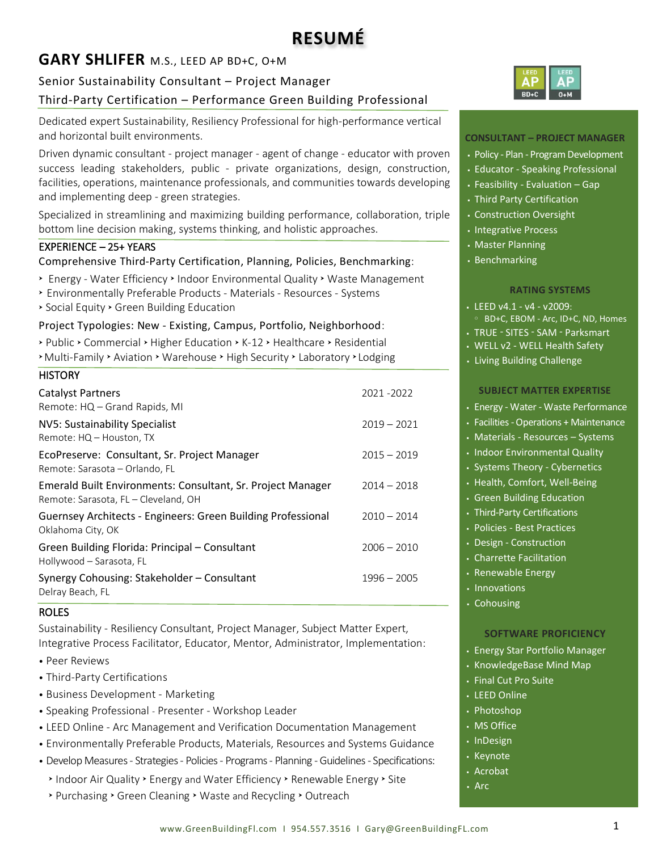# **GARY SHLIFER** M.S., LEED AP BD+C, O+M

# Senior Sustainability Consultant – Project Manager

# Third-Party Certification – Performance Green Building Professional

Dedicated expert Sustainability, Resiliency Professional for high-performance vertical and horizontal built environments.

Driven dynamic consultant - project manager - agent of change - educator with proven success leading stakeholders, public - private organizations, design, construction, facilities, operations, maintenance professionals, and communities towards developing and implementing deep - green strategies.

Specialized in streamlining and maximizing building performance, collaboration, triple bottom line decision making, systems thinking, and holistic approaches.

## EXPERIENCE – 25+ YEARS

Comprehensive Third-Party Certification, Planning, Policies, Benchmarking:

- **Energy Water Efficiency > Indoor Environmental Quality > Waste Management**
- Environmentally Preferable Products Materials Resources Systems
- Social Equity Green Building Education

### Project Typologies: New - Existing, Campus, Portfolio, Neighborhood:

▶ Public ▶ Commercial ▶ Higher Education ▶ K-12 ▶ Healthcare ▶ Residential **Multi-Family > Aviation > Warehouse > High Security > Laboratory > Lodging** 

| <b>HISTORY</b>                                                                                      |               |
|-----------------------------------------------------------------------------------------------------|---------------|
| <b>Catalyst Partners</b>                                                                            | 2021-2022     |
| Remote: HQ – Grand Rapids, MI                                                                       |               |
| NV5: Sustainability Specialist<br>Remote: HQ - Houston, TX                                          | $2019 - 2021$ |
| EcoPreserve: Consultant, Sr. Project Manager<br>Remote: Sarasota - Orlando, FL                      | $2015 - 2019$ |
| Emerald Built Environments: Consultant, Sr. Project Manager<br>Remote: Sarasota, FL – Cleveland, OH | $2014 - 2018$ |
| Guernsey Architects - Engineers: Green Building Professional<br>Oklahoma City, OK                   | $2010 - 2014$ |
| Green Building Florida: Principal - Consultant<br>Hollywood - Sarasota, FL                          | $2006 - 2010$ |
| Synergy Cohousing: Stakeholder - Consultant<br>Delray Beach, FL                                     | $1996 - 2005$ |

#### ROLES

Sustainability - Resiliency Consultant, Project Manager, Subject Matter Expert, Integrative Process Facilitator, Educator, Mentor, Administrator, Implementation:

- Peer Reviews
- Third-Party Certifications
- Business Development Marketing
- Speaking Professional Presenter Workshop Leader
- LEED Online Arc Management and Verification Documentation Management
- Environmentally Preferable Products, Materials, Resources and Systems Guidance
- Develop Measures Strategies Policies Programs Planning -Guidelines Specifications:
- > Indoor Air Quality > Energy and Water Efficiency > Renewable Energy > Site
- > Purchasing > Green Cleaning > Waste and Recycling > Outreach



#### **CONSULTANT – PROJECT MANAGER**

- Policy Plan Program Development
- Educator Speaking Professional
- $\cdot$  Feasibility Evaluation Gap
- Third Party Certification
- Construction Oversight
- Integrative Process
- Master Planning
- Benchmarking

#### **RATING SYSTEMS**

- $\cdot$  LEED v4.1 v4 v2009:
- BD+C, EBOM Arc, ID+C, ND, Homes
- TRUE SITES SAM Parksmart
- WELL v2 WELL Health Safety
- Living Building Challenge

#### **SUBJECT MATTER EXPERTISE**

- Energy Water Waste Performance
- Facilities -Operations + Maintenance
- Materials Resources Systems
- Indoor Environmental Quality
- Systems Theory Cybernetics
- Health, Comfort, Well-Being
- Green Building Education
- Third-Party Certifications
- Policies Best Practices
- Design Construction
- Charrette Facilitation
- Renewable Energy
- Innovations
- Cohousing

#### **SOFTWARE PROFICIENCY**

- Energy Star Portfolio Manager
- KnowledgeBase Mind Map
- Final Cut Pro Suite
- LEED Online
- Photoshop
- MS Office
- InDesign
- Keynote
- Acrobat
- Arc